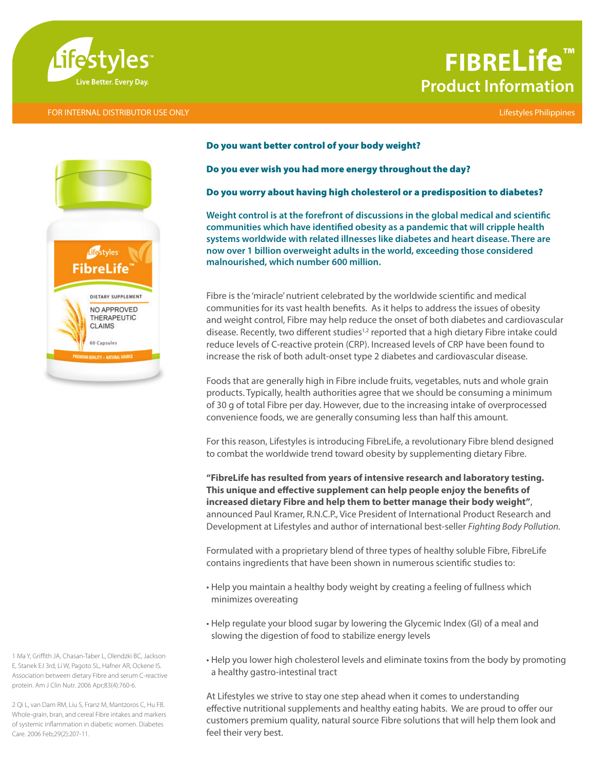

#### FOR INTERNAL DISTRIBUTOR USE ONLY Lifestyles Philippines

# **FIBRELife™ Product Information**



#### Do you want better control of your body weight?

#### Do you ever wish you had more energy throughout the day?

### Do you worry about having high cholesterol or a predisposition to diabetes?

**Weight control is at the forefront of discussions in the global medical and scientific communities which have identified obesity as a pandemic that will cripple health systems worldwide with related illnesses like diabetes and heart disease. There are now over 1 billion overweight adults in the world, exceeding those considered malnourished, which number 600 million.**

Fibre is the 'miracle' nutrient celebrated by the worldwide scientific and medical communities for its vast health benefits. As it helps to address the issues of obesity and weight control, Fibre may help reduce the onset of both diabetes and cardiovascular disease. Recently, two different studies<sup>1,2</sup> reported that a high dietary Fibre intake could reduce levels of C-reactive protein (CRP). Increased levels of CRP have been found to increase the risk of both adult-onset type 2 diabetes and cardiovascular disease.

Foods that are generally high in Fibre include fruits, vegetables, nuts and whole grain products. Typically, health authorities agree that we should be consuming a minimum of 30 g of total Fibre per day. However, due to the increasing intake of overprocessed convenience foods, we are generally consuming less than half this amount.

For this reason, Lifestyles is introducing FibreLife, a revolutionary Fibre blend designed to combat the worldwide trend toward obesity by supplementing dietary Fibre.

**"FibreLife has resulted from years of intensive research and laboratory testing. This unique and effective supplement can help people enjoy the benefits of increased dietary Fibre and help them to better manage their body weight"**, announced Paul Kramer, R.N.C.P., Vice President of International Product Research and Development at Lifestyles and author of international best-seller *Fighting Body Pollution.*

Formulated with a proprietary blend of three types of healthy soluble Fibre, FibreLife contains ingredients that have been shown in numerous scientific studies to:

- Help you maintain a healthy body weight by creating a feeling of fullness which minimizes overeating
- Help regulate your blood sugar by lowering the Glycemic Index (GI) of a meal and slowing the digestion of food to stabilize energy levels
- Help you lower high cholesterol levels and eliminate toxins from the body by promoting a healthy gastro-intestinal tract

At Lifestyles we strive to stay one step ahead when it comes to understanding effective nutritional supplements and healthy eating habits. We are proud to offer our customers premium quality, natural source Fibre solutions that will help them look and feel their very best.

1 Ma Y, Griffith JA, Chasan-Taber L, Olendzki BC, Jackson E, Stanek EJ 3rd, Li W, Pagoto SL, Hafner AR, Ockene IS. Association between dietary Fibre and serum C-reactive protein. Am J Clin Nutr. 2006 Apr;83(4):760-6.

2 Qi L, van Dam RM, Liu S, Franz M, Mantzoros C, Hu FB. Whole-grain, bran, and cereal Fibre intakes and markers of systemic inflammation in diabetic women. Diabetes Care. 2006 Feb;29(2):207-11.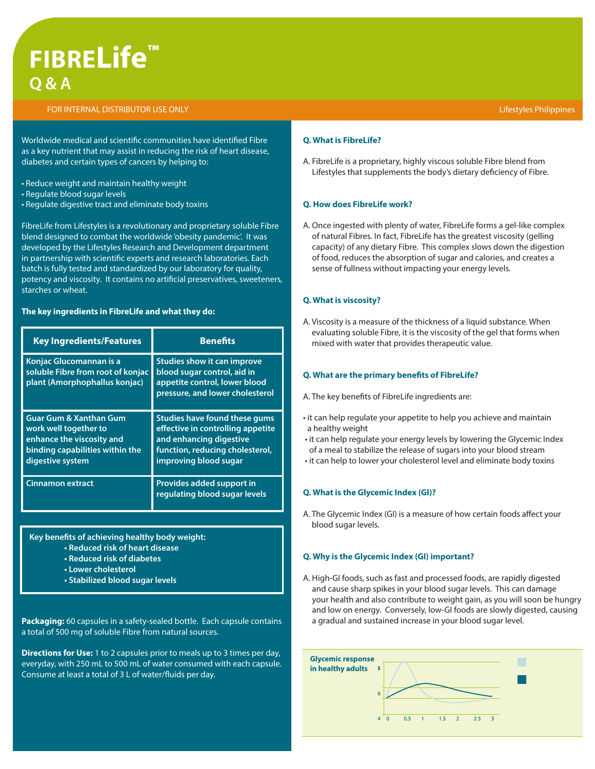# **FIBRELife™ Q & A**

#### FOR INTERNAL DISTRIBUTOR USE ONLY

Worldwide medical and scientific communities have identified Fibre as a key nutrient that may assist in reducing the risk of heart disease, diabetes and certain types of cancers by helping to:

- Reduce weight and maintain healthy weight
- Regulate blood sugar levels
- Regulate digestive tract and eliminate body toxins

FibreLife from Lifestyles is a revolutionary and proprietary soluble Fibre blend designed to combat the worldwide 'obesity pandemic'. It was developed by the Lifestyles Research and Development department in partnership with scientific experts and research laboratories. Each batch is fully tested and standardized by our laboratory for quality, potency and viscosity. It contains no artificial preservatives, sweeteners, starches or wheat.

#### **The key ingredients in FibreLife and what they do:**

| <b>Key Ingredients/Features</b>                                                                                                                | <b>Benefits</b>                                                                                                                                                  |  |  |  |  |
|------------------------------------------------------------------------------------------------------------------------------------------------|------------------------------------------------------------------------------------------------------------------------------------------------------------------|--|--|--|--|
| Konjac Glucomannan is a<br>soluble Fibre from root of konjac<br>plant (Amorphophallus konjac)                                                  | <b>Studies show it can improve</b><br>blood sugar control, aid in<br>appetite control, lower blood<br>pressure, and lower cholesterol                            |  |  |  |  |
| <b>Guar Gum &amp; Xanthan Gum</b><br>work well together to<br>enhance the viscosity and<br>binding capabilities within the<br>digestive system | <b>Studies have found these gums</b><br>effective in controlling appetite<br>and enhancing digestive<br>function, reducing cholesterol,<br>improving blood sugar |  |  |  |  |
| <b>Cinnamon extract</b>                                                                                                                        | Provides added support in<br>regulating blood sugar levels                                                                                                       |  |  |  |  |

**Key benefits of achieving healthy body weight:**

- **Reduced risk of heart disease**
- **Reduced risk of diabetes**
- **Lower cholesterol**
- **Stabilized blood sugar levels**

**Packaging:** 60 capsules in a safety-sealed bottle. Each capsule contains a total of 500 mg of soluble Fibre from natural sources.

**Directions for Use:** 1 to 2 capsules prior to meals up to 3 times per day, everyday, with 250 mL to 500 mL of water consumed with each capsule. Consume at least a total of 3 L of water/fluids per day.

#### **Q. What is FibreLife?**

A. FibreLife is a proprietary, highly viscous soluble Fibre blend from Lifestyles that supplements the body's dietary deficiency of Fibre.

#### **Q. How does FibreLife work?**

A. Once ingested with plenty of water, FibreLife forms a gel-like complex of natural Fibres. In fact, FibreLife has the greatest viscosity (gelling capacity) of any dietary Fibre. This complex slows down the digestion of food, reduces the absorption of sugar and calories, and creates a sense of fullness without impacting your energy levels.

#### **Q. What is viscosity?**

A. Viscosity is a measure of the thickness of a liquid substance. When evaluating soluble Fibre, it is the viscosity of the gel that forms when mixed with water that provides therapeutic value.

#### **Q. What are the primary benefits of FibreLife?**

A. The key benefits of FibreLife ingredients are:

- it can help regulate your appetite to help you achieve and maintain a healthy weight
- it can help regulate your energy levels by lowering the Glycemic Index of a meal to stabilize the release of sugars into your blood stream
- it can help to lower your cholesterol level and eliminate body toxins

#### **Q. What is the Glycemic Index (GI)?**

A. The Glycemic Index (GI) is a measure of how certain foods affect your blood sugar levels.

#### **Q. Why is the Glycemic Index (GI) important?**

A. High-GI foods, such as fast and processed foods, are rapidly digested and cause sharp spikes in your blood sugar levels. This can damage your health and also contribute to weight gain, as you will soon be hungry and low on energy. Conversely, low-GI foods are slowly digested, causing a gradual and sustained increase in your blood sugar level.

| Glycemic response<br>in healthy adults | $\overline{\phantom{0}}$ 8<br>6 |          |     |               |  |  |
|----------------------------------------|---------------------------------|----------|-----|---------------|--|--|
|                                        | $\overline{4}$                  | $\Omega$ | 0.5 | 1 1.5 2 2.5 3 |  |  |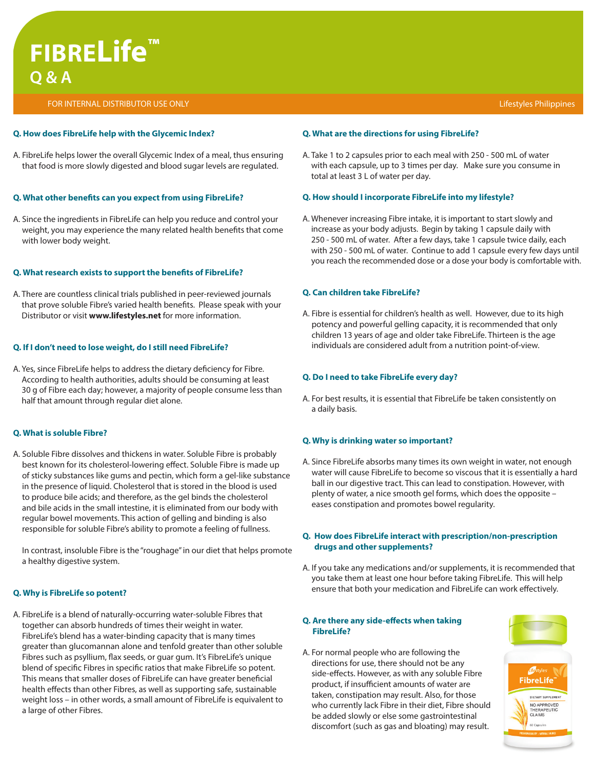# **FIBRELife™ Q & A**

FOR INTERNAL DISTRIBUTOR USE ONLY

#### **Q. How does FibreLife help with the Glycemic Index?**

A. FibreLife helps lower the overall Glycemic Index of a meal, thus ensuring that food is more slowly digested and blood sugar levels are regulated.

## **Q. What other benefits can you expect from using FibreLife?**

A. Since the ingredients in FibreLife can help you reduce and control your weight, you may experience the many related health benefits that come with lower body weight.

## **Q. What research exists to support the benefits of FibreLife?**

A. There are countless clinical trials published in peer-reviewed journals that prove soluble Fibre's varied health benefits. Please speak with your Distributor or visit **www.lifestyles.net** for more information.

# **Q. If I don't need to lose weight, do I still need FibreLife?**

A. Yes, since FibreLife helps to address the dietary deficiency for Fibre. According to health authorities, adults should be consuming at least 30 g of Fibre each day; however, a majority of people consume less than half that amount through regular diet alone.

### **Q. What is soluble Fibre?**

A. Soluble Fibre dissolves and thickens in water. Soluble Fibre is probably best known for its cholesterol-lowering effect. Soluble Fibre is made up of sticky substances like gums and pectin, which form a gel-like substance in the presence of liquid. Cholesterol that is stored in the blood is used to produce bile acids; and therefore, as the gel binds the cholesterol and bile acids in the small intestine, it is eliminated from our body with regular bowel movements. This action of gelling and binding is also responsible for soluble Fibre's ability to promote a feeling of fullness.

In contrast, insoluble Fibre is the "roughage" in our diet that helps promote a healthy digestive system.

# **Q. Why is FibreLife so potent?**

A. FibreLife is a blend of naturally-occurring water-soluble Fibres that together can absorb hundreds of times their weight in water. FibreLife's blend has a water-binding capacity that is many times greater than glucomannan alone and tenfold greater than other soluble Fibres such as psyllium, flax seeds, or guar gum. It's FibreLife's unique blend of specific Fibres in specific ratios that make FibreLife so potent. This means that smaller doses of FibreLife can have greater beneficial health effects than other Fibres, as well as supporting safe, sustainable weight loss – in other words, a small amount of FibreLife is equivalent to a large of other Fibres.

### Lifestyles Philippines

## **Q. What are the directions for using FibreLife?**

A. Take 1 to 2 capsules prior to each meal with 250 - 500 mL of water with each capsule, up to 3 times per day. Make sure you consume in total at least 3 L of water per day.

## **Q. How should I incorporate FibreLife into my lifestyle?**

A. Whenever increasing Fibre intake, it is important to start slowly and increase as your body adjusts. Begin by taking 1 capsule daily with 250 - 500 mL of water. After a few days, take 1 capsule twice daily, each with 250 - 500 mL of water. Continue to add 1 capsule every few days until you reach the recommended dose or a dose your body is comfortable with.

## **Q. Can children take FibreLife?**

A. Fibre is essential for children's health as well. However, due to its high potency and powerful gelling capacity, it is recommended that only children 13 years of age and older take FibreLife. Thirteen is the age individuals are considered adult from a nutrition point-of-view.

## **Q. Do I need to take FibreLife every day?**

A. For best results, it is essential that FibreLife be taken consistently on a daily basis.

# **Q. Why is drinking water so important?**

A. Since FibreLife absorbs many times its own weight in water, not enough water will cause FibreLife to become so viscous that it is essentially a hard ball in our digestive tract. This can lead to constipation. However, with plenty of water, a nice smooth gel forms, which does the opposite – eases constipation and promotes bowel regularity.

## **Q. How does FibreLife interact with prescription/non-prescription drugs and other supplements?**

A. If you take any medications and/or supplements, it is recommended that you take them at least one hour before taking FibreLife. This will help ensure that both your medication and FibreLife can work effectively.

### **Q. Are there any side-effects when taking FibreLife?**

A. For normal people who are following the directions for use, there should not be any side-effects. However, as with any soluble Fibre product, if insufficient amounts of water are taken, constipation may result. Also, for those who currently lack Fibre in their diet, Fibre should be added slowly or else some gastrointestinal discomfort (such as gas and bloating) may result.